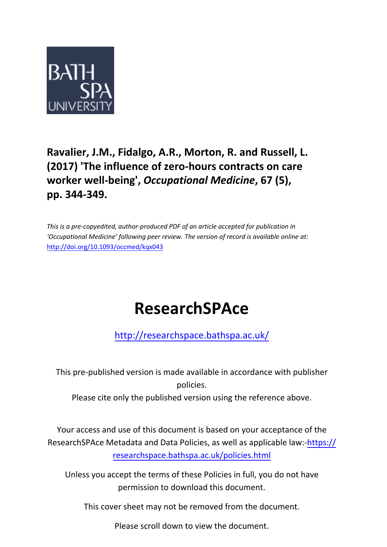

# **Ravalier, J.M., Fidalgo, A.R., Morton, R. and Russell, L. (2017) 'The influence of zero-hours contracts on care worker well-being',** *Occupational Medicine***, 67 (5), pp. 344-349.**

*This is a pre-copyedited, author-produced PDF of an article accepted for publication in 'Occupational Medicine' following peer review. The version of record is available online at:*  <http://doi.org/10.1093/occmed/kqx043>

# **ResearchSPAce**

<http://researchspace.bathspa.ac.uk/>

This pre-published version is made available in accordance with publisher policies.

Please cite only the published version using the reference above.

Your access and use of this document is based on your acceptance of the ResearchSPAce Metadata and Data Policies, as well as applicable law:-https:// researchspace.bathspa.ac.uk/policies.html

Unless you accept the terms of these Policies in full, you do not have permission to download this document.

This cover sheet may not be removed from the document.

Please scroll down to view the document.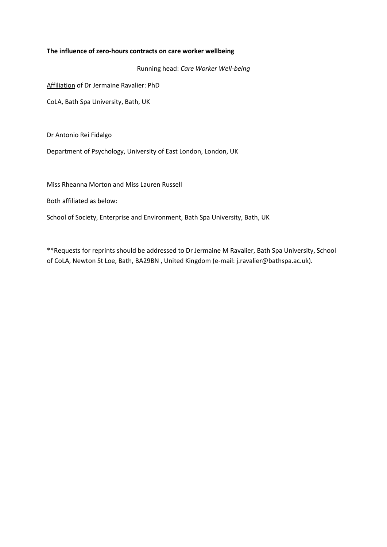#### **The influence of zero-hours contracts on care worker wellbeing**

Running head: *Care Worker Well-being*

Affiliation of Dr Jermaine Ravalier: PhD

CoLA, Bath Spa University, Bath, UK

Dr Antonio Rei Fidalgo

Department of Psychology, University of East London, London, UK

Miss Rheanna Morton and Miss Lauren Russell

Both affiliated as below:

School of Society, Enterprise and Environment, Bath Spa University, Bath, UK

\*\*Requests for reprints should be addressed to Dr Jermaine M Ravalier, Bath Spa University, School of CoLA, Newton St Loe, Bath, BA29BN , United Kingdom (e-mail: j.ravalier@bathspa.ac.uk).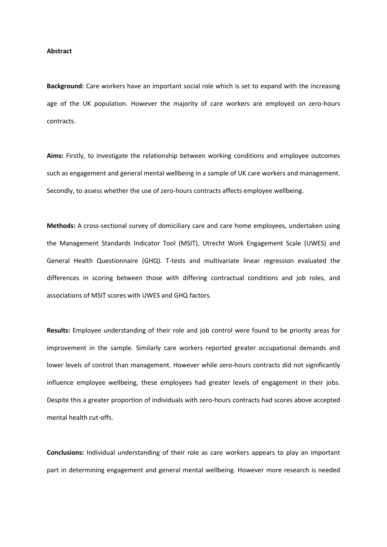#### **Abstract**

**Background:** Care workers have an important social role which is set to expand with the increasing age of the UK population. However the majority of care workers are employed on zero-hours contracts.

**Aims:** Firstly, to investigate the relationship between working conditions and employee outcomes such as engagement and general mental wellbeing in a sample of UK care workers and management. Secondly, to assess whether the use of zero-hours contracts affects employee wellbeing.

**Methods:** A cross-sectional survey of domiciliary care and care home employees, undertaken using the Management Standards Indicator Tool (MSIT), Utrecht Work Engagement Scale (UWES) and General Health Questionnaire (GHQ). T-tests and multivariate linear regression evaluated the differences in scoring between those with differing contractual conditions and job roles, and associations of MSIT scores with UWES and GHQ factors.

**Results:** Employee understanding of their role and job control were found to be priority areas for improvement in the sample. Similarly care workers reported greater occupational demands and lower levels of control than management. However while zero-hours contracts did not significantly influence employee wellbeing, these employees had greater levels of engagement in their jobs. Despite this a greater proportion of individuals with zero-hours contracts had scores above accepted mental health cut-offs.

**Conclusions:** Individual understanding of their role as care workers appears to play an important part in determining engagement and general mental wellbeing. However more research is needed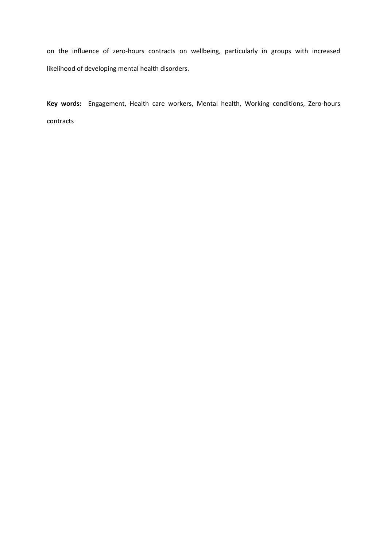on the influence of zero-hours contracts on wellbeing, particularly in groups with increased likelihood of developing mental health disorders.

**Key words:** Engagement, Health care workers, Mental health, Working conditions, Zero-hours contracts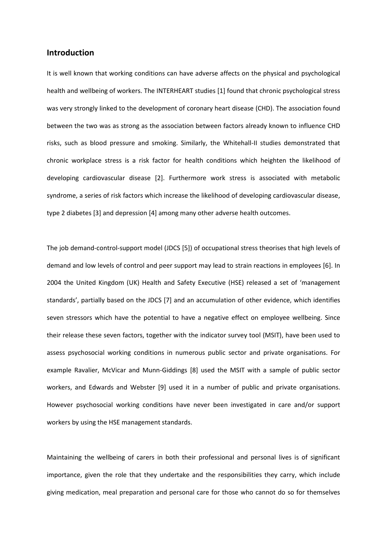# **Introduction**

It is well known that working conditions can have adverse affects on the physical and psychological health and wellbeing of workers. The INTERHEART studies [1] found that chronic psychological stress was very strongly linked to the development of coronary heart disease (CHD). The association found between the two was as strong as the association between factors already known to influence CHD risks, such as blood pressure and smoking. Similarly, the Whitehall-II studies demonstrated that chronic workplace stress is a risk factor for health conditions which heighten the likelihood of developing cardiovascular disease [2]. Furthermore work stress is associated with metabolic syndrome, a series of risk factors which increase the likelihood of developing cardiovascular disease, type 2 diabetes [3] and depression [4] among many other adverse health outcomes.

The job demand-control-support model (JDCS [5]) of occupational stress theorises that high levels of demand and low levels of control and peer support may lead to strain reactions in employees [6]. In 2004 the United Kingdom (UK) Health and Safety Executive (HSE) released a set of 'management standards', partially based on the JDCS [7] and an accumulation of other evidence, which identifies seven stressors which have the potential to have a negative effect on employee wellbeing. Since their release these seven factors, together with the indicator survey tool (MSIT), have been used to assess psychosocial working conditions in numerous public sector and private organisations. For example Ravalier, McVicar and Munn-Giddings [8] used the MSIT with a sample of public sector workers, and Edwards and Webster [9] used it in a number of public and private organisations. However psychosocial working conditions have never been investigated in care and/or support workers by using the HSE management standards.

Maintaining the wellbeing of carers in both their professional and personal lives is of significant importance, given the role that they undertake and the responsibilities they carry, which include giving medication, meal preparation and personal care for those who cannot do so for themselves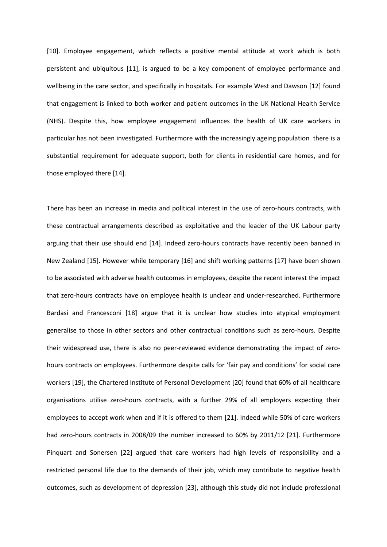[10]. Employee engagement, which reflects a positive mental attitude at work which is both persistent and ubiquitous [11], is argued to be a key component of employee performance and wellbeing in the care sector, and specifically in hospitals. For example West and Dawson [12] found that engagement is linked to both worker and patient outcomes in the UK National Health Service (NHS). Despite this, how employee engagement influences the health of UK care workers in particular has not been investigated. Furthermore with the increasingly ageing population there is a substantial requirement for adequate support, both for clients in residential care homes, and for those employed there [14].

There has been an increase in media and political interest in the use of zero-hours contracts, with these contractual arrangements described as exploitative and the leader of the UK Labour party arguing that their use should end [14]. Indeed zero-hours contracts have recently been banned in New Zealand [15]. However while temporary [16] and shift working patterns [17] have been shown to be associated with adverse health outcomes in employees, despite the recent interest the impact that zero-hours contracts have on employee health is unclear and under-researched. Furthermore Bardasi and Francesconi [18] argue that it is unclear how studies into atypical employment generalise to those in other sectors and other contractual conditions such as zero-hours. Despite their widespread use, there is also no peer-reviewed evidence demonstrating the impact of zerohours contracts on employees. Furthermore despite calls for 'fair pay and conditions' for social care workers [19], the Chartered Institute of Personal Development [20] found that 60% of all healthcare organisations utilise zero-hours contracts, with a further 29% of all employers expecting their employees to accept work when and if it is offered to them [21]. Indeed while 50% of care workers had zero-hours contracts in 2008/09 the number increased to 60% by 2011/12 [21]. Furthermore Pinquart and Sonersen [22] argued that care workers had high levels of responsibility and a restricted personal life due to the demands of their job, which may contribute to negative health outcomes, such as development of depression [23], although this study did not include professional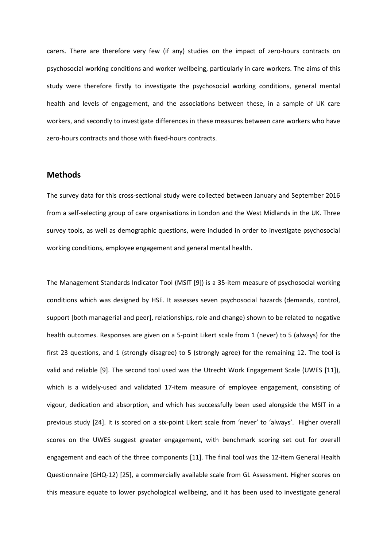carers. There are therefore very few (if any) studies on the impact of zero-hours contracts on psychosocial working conditions and worker wellbeing, particularly in care workers. The aims of this study were therefore firstly to investigate the psychosocial working conditions, general mental health and levels of engagement, and the associations between these, in a sample of UK care workers, and secondly to investigate differences in these measures between care workers who have zero-hours contracts and those with fixed-hours contracts.

# **Methods**

The survey data for this cross-sectional study were collected between January and September 2016 from a self-selecting group of care organisations in London and the West Midlands in the UK. Three survey tools, as well as demographic questions, were included in order to investigate psychosocial working conditions, employee engagement and general mental health.

The Management Standards Indicator Tool (MSIT [9]) is a 35-item measure of psychosocial working conditions which was designed by HSE. It assesses seven psychosocial hazards (demands, control, support [both managerial and peer], relationships, role and change) shown to be related to negative health outcomes. Responses are given on a 5-point Likert scale from 1 (never) to 5 (always) for the first 23 questions, and 1 (strongly disagree) to 5 (strongly agree) for the remaining 12. The tool is valid and reliable [9]. The second tool used was the Utrecht Work Engagement Scale (UWES [11]), which is a widely-used and validated 17-item measure of employee engagement, consisting of vigour, dedication and absorption, and which has successfully been used alongside the MSIT in a previous study [24]. It is scored on a six-point Likert scale from 'never' to 'always'. Higher overall scores on the UWES suggest greater engagement, with benchmark scoring set out for overall engagement and each of the three components [11]. The final tool was the 12-item General Health Questionnaire (GHQ-12) [25], a commercially available scale from GL Assessment. Higher scores on this measure equate to lower psychological wellbeing, and it has been used to investigate general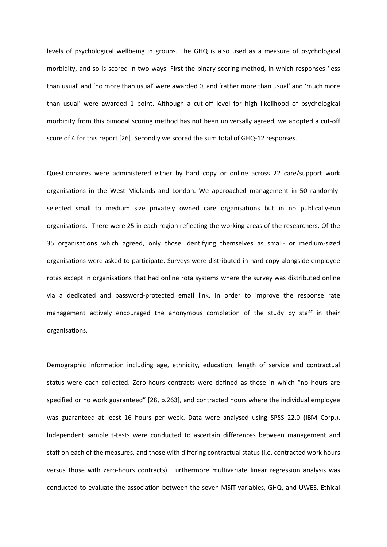levels of psychological wellbeing in groups. The GHQ is also used as a measure of psychological morbidity, and so is scored in two ways. First the binary scoring method, in which responses 'less than usual' and 'no more than usual' were awarded 0, and 'rather more than usual' and 'much more than usual' were awarded 1 point. Although a cut-off level for high likelihood of psychological morbidity from this bimodal scoring method has not been universally agreed, we adopted a cut-off score of 4 for this report [26]. Secondly we scored the sum total of GHQ-12 responses.

Questionnaires were administered either by hard copy or online across 22 care/support work organisations in the West Midlands and London. We approached management in 50 randomlyselected small to medium size privately owned care organisations but in no publically-run organisations. There were 25 in each region reflecting the working areas of the researchers. Of the 35 organisations which agreed, only those identifying themselves as small- or medium-sized organisations were asked to participate. Surveys were distributed in hard copy alongside employee rotas except in organisations that had online rota systems where the survey was distributed online via a dedicated and password-protected email link. In order to improve the response rate management actively encouraged the anonymous completion of the study by staff in their organisations.

Demographic information including age, ethnicity, education, length of service and contractual status were each collected. Zero-hours contracts were defined as those in which "no hours are specified or no work guaranteed" [28, p.263], and contracted hours where the individual employee was guaranteed at least 16 hours per week. Data were analysed using SPSS 22.0 (IBM Corp.). Independent sample t-tests were conducted to ascertain differences between management and staff on each of the measures, and those with differing contractual status (i.e. contracted work hours versus those with zero-hours contracts). Furthermore multivariate linear regression analysis was conducted to evaluate the association between the seven MSIT variables, GHQ, and UWES. Ethical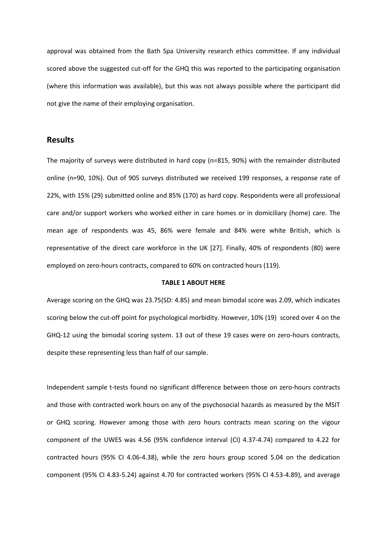approval was obtained from the Bath Spa University research ethics committee. If any individual scored above the suggested cut-off for the GHQ this was reported to the participating organisation (where this information was available), but this was not always possible where the participant did not give the name of their employing organisation.

### **Results**

The majority of surveys were distributed in hard copy (n=815, 90%) with the remainder distributed online (n=90, 10%). Out of 905 surveys distributed we received 199 responses, a response rate of 22%, with 15% (29) submitted online and 85% (170) as hard copy. Respondents were all professional care and/or support workers who worked either in care homes or in domiciliary (home) care. The mean age of respondents was 45, 86% were female and 84% were white British, which is representative of the direct care workforce in the UK [27]. Finally, 40% of respondents (80) were employed on zero-hours contracts, compared to 60% on contracted hours (119).

#### **TABLE 1 ABOUT HERE**

Average scoring on the GHQ was 23.75(SD: 4.85) and mean bimodal score was 2.09, which indicates scoring below the cut-off point for psychological morbidity. However, 10% (19) scored over 4 on the GHQ-12 using the bimodal scoring system. 13 out of these 19 cases were on zero-hours contracts, despite these representing less than half of our sample.

Independent sample t-tests found no significant difference between those on zero-hours contracts and those with contracted work hours on any of the psychosocial hazards as measured by the MSIT or GHQ scoring. However among those with zero hours contracts mean scoring on the vigour component of the UWES was 4.56 (95% confidence interval (CI) 4.37-4.74) compared to 4.22 for contracted hours (95% CI 4.06-4.38), while the zero hours group scored 5.04 on the dedication component (95% CI 4.83-5.24) against 4.70 for contracted workers (95% CI 4.53-4.89), and average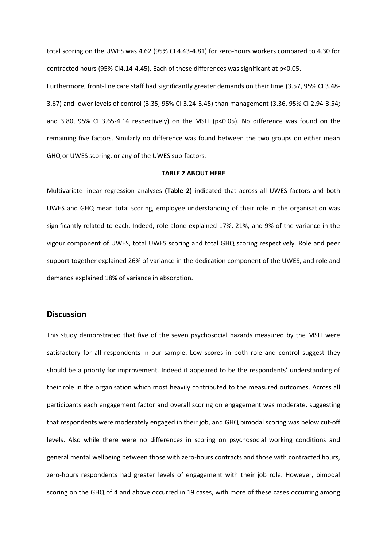total scoring on the UWES was 4.62 (95% CI 4.43-4.81) for zero-hours workers compared to 4.30 for contracted hours (95% CI4.14-4.45). Each of these differences was significant at p<0.05.

Furthermore, front-line care staff had significantly greater demands on their time (3.57, 95% CI 3.48- 3.67) and lower levels of control (3.35, 95% CI 3.24-3.45) than management (3.36, 95% CI 2.94-3.54; and 3.80, 95% CI 3.65-4.14 respectively) on the MSIT ( $p<0.05$ ). No difference was found on the remaining five factors. Similarly no difference was found between the two groups on either mean GHQ or UWES scoring, or any of the UWES sub-factors.

#### **TABLE 2 ABOUT HERE**

Multivariate linear regression analyses **(Table 2)** indicated that across all UWES factors and both UWES and GHQ mean total scoring, employee understanding of their role in the organisation was significantly related to each. Indeed, role alone explained 17%, 21%, and 9% of the variance in the vigour component of UWES, total UWES scoring and total GHQ scoring respectively. Role and peer support together explained 26% of variance in the dedication component of the UWES, and role and demands explained 18% of variance in absorption.

#### **Discussion**

This study demonstrated that five of the seven psychosocial hazards measured by the MSIT were satisfactory for all respondents in our sample. Low scores in both role and control suggest they should be a priority for improvement. Indeed it appeared to be the respondents' understanding of their role in the organisation which most heavily contributed to the measured outcomes. Across all participants each engagement factor and overall scoring on engagement was moderate, suggesting that respondents were moderately engaged in their job, and GHQ bimodal scoring was below cut-off levels. Also while there were no differences in scoring on psychosocial working conditions and general mental wellbeing between those with zero-hours contracts and those with contracted hours, zero-hours respondents had greater levels of engagement with their job role. However, bimodal scoring on the GHQ of 4 and above occurred in 19 cases, with more of these cases occurring among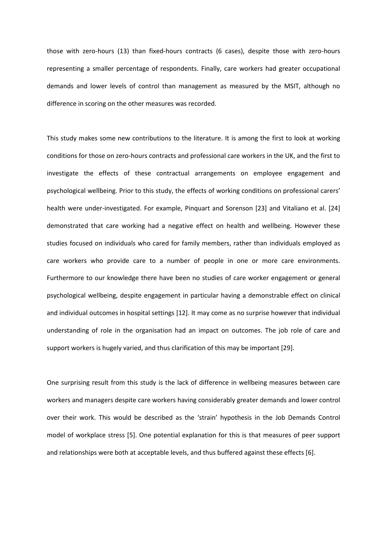those with zero-hours (13) than fixed-hours contracts (6 cases), despite those with zero-hours representing a smaller percentage of respondents. Finally, care workers had greater occupational demands and lower levels of control than management as measured by the MSIT, although no difference in scoring on the other measures was recorded.

This study makes some new contributions to the literature. It is among the first to look at working conditions for those on zero-hours contracts and professional care workers in the UK, and the first to investigate the effects of these contractual arrangements on employee engagement and psychological wellbeing. Prior to this study, the effects of working conditions on professional carers' health were under-investigated. For example, Pinquart and Sorenson [23] and Vitaliano et al. [24] demonstrated that care working had a negative effect on health and wellbeing. However these studies focused on individuals who cared for family members, rather than individuals employed as care workers who provide care to a number of people in one or more care environments. Furthermore to our knowledge there have been no studies of care worker engagement or general psychological wellbeing, despite engagement in particular having a demonstrable effect on clinical and individual outcomes in hospital settings [12]. It may come as no surprise however that individual understanding of role in the organisation had an impact on outcomes. The job role of care and support workers is hugely varied, and thus clarification of this may be important [29].

One surprising result from this study is the lack of difference in wellbeing measures between care workers and managers despite care workers having considerably greater demands and lower control over their work. This would be described as the 'strain' hypothesis in the Job Demands Control model of workplace stress [5]. One potential explanation for this is that measures of peer support and relationships were both at acceptable levels, and thus buffered against these effects [6].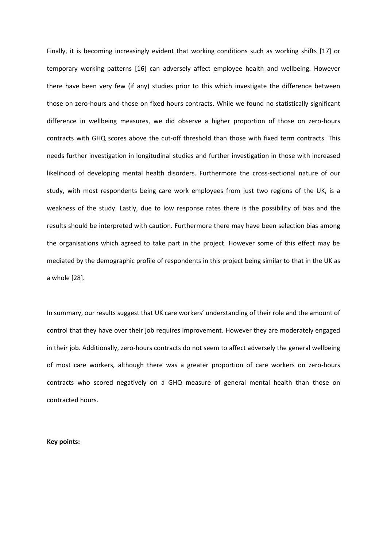Finally, it is becoming increasingly evident that working conditions such as working shifts [17] or temporary working patterns [16] can adversely affect employee health and wellbeing. However there have been very few (if any) studies prior to this which investigate the difference between those on zero-hours and those on fixed hours contracts. While we found no statistically significant difference in wellbeing measures, we did observe a higher proportion of those on zero-hours contracts with GHQ scores above the cut-off threshold than those with fixed term contracts. This needs further investigation in longitudinal studies and further investigation in those with increased likelihood of developing mental health disorders. Furthermore the cross-sectional nature of our study, with most respondents being care work employees from just two regions of the UK, is a weakness of the study. Lastly, due to low response rates there is the possibility of bias and the results should be interpreted with caution. Furthermore there may have been selection bias among the organisations which agreed to take part in the project. However some of this effect may be mediated by the demographic profile of respondents in this project being similar to that in the UK as a whole [28].

In summary, our results suggest that UK care workers' understanding of their role and the amount of control that they have over their job requires improvement. However they are moderately engaged in their job. Additionally, zero-hours contracts do not seem to affect adversely the general wellbeing of most care workers, although there was a greater proportion of care workers on zero-hours contracts who scored negatively on a GHQ measure of general mental health than those on contracted hours.

#### **Key points:**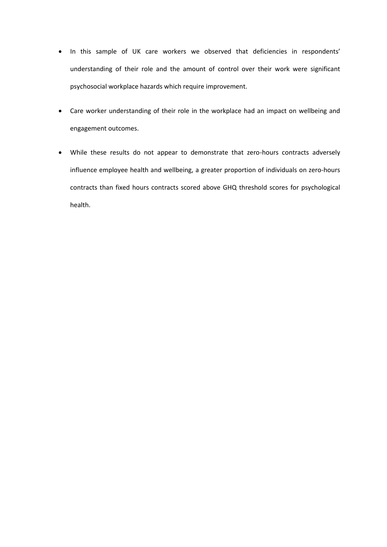- In this sample of UK care workers we observed that deficiencies in respondents' understanding of their role and the amount of control over their work were significant psychosocial workplace hazards which require improvement.
- Care worker understanding of their role in the workplace had an impact on wellbeing and engagement outcomes.
- While these results do not appear to demonstrate that zero-hours contracts adversely influence employee health and wellbeing, a greater proportion of individuals on zero-hours contracts than fixed hours contracts scored above GHQ threshold scores for psychological health.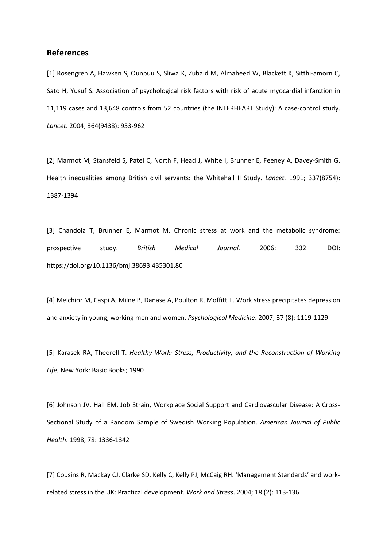## **References**

[1] Rosengren A, Hawken S, Ounpuu S, Sliwa K, Zubaid M, Almaheed W, Blackett K, Sitthi-amorn C, Sato H, Yusuf S. Association of psychological risk factors with risk of acute myocardial infarction in 11,119 cases and 13,648 controls from 52 countries (the INTERHEART Study): A case-control study. *Lancet*. 2004; 364(9438): 953-962

[2] Marmot M, Stansfeld S, Patel C, North F, Head J, White I, Brunner E, Feeney A, Davey-Smith G. Health inequalities among British civil servants: the Whitehall II Study. *Lancet.* 1991; 337(8754): 1387-1394

[3] Chandola T, Brunner E, Marmot M. Chronic stress at work and the metabolic syndrome: prospective study. *British Medical Journal.* 2006; 332. DOI: https://doi.org/10.1136/bmj.38693.435301.80

[4] Melchior M, Caspi A, Milne B, Danase A, Poulton R, Moffitt T. Work stress precipitates depression and anxiety in young, working men and women. *Psychological Medicine*. 2007; 37 (8): 1119-1129

[5] Karasek RA, Theorell T. *Healthy Work: Stress, Productivity, and the Reconstruction of Working Life*, New York: Basic Books; 1990

[6] Johnson JV, Hall EM. Job Strain, Workplace Social Support and Cardiovascular Disease: A Cross-Sectional Study of a Random Sample of Swedish Working Population. *American Journal of Public Health*. 1998; 78: 1336-1342

[7] Cousins R, Mackay CJ, Clarke SD, Kelly C, Kelly PJ, McCaig RH. 'Management Standards' and workrelated stress in the UK: Practical development. *Work and Stress*. 2004; 18 (2): 113-136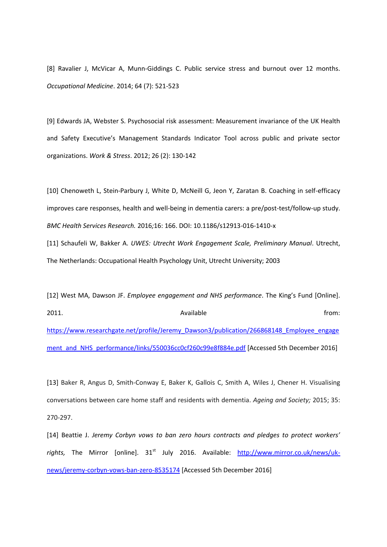[8] Ravalier J, McVicar A, Munn-Giddings C. Public service stress and burnout over 12 months. *Occupational Medicine*. 2014; 64 (7): 521-523

[9] Edwards JA, Webster S. Psychosocial risk assessment: Measurement invariance of the UK Health and Safety Executive's Management Standards Indicator Tool across public and private sector organizations. *Work & Stress*. 2012; 26 (2): 130-142

[10] Chenoweth L, Stein-Parbury J, White D, McNeill G, Jeon Y, Zaratan B. Coaching in self-efficacy improves care responses, health and well-being in dementia carers: a pre/post-test/follow-up study. *BMC Health Services Research.* 2016*;*16: 166. DOI: 10.1186/s12913-016-1410-x

[11] Schaufeli W, Bakker A. *UWES: Utrecht Work Engagement Scale, Preliminary Manual*. Utrecht, The Netherlands: Occupational Health Psychology Unit, Utrecht University; 2003

[12] West MA, Dawson JF. *Employee engagement and NHS performance*. The King's Fund [Online]. 2011. The contract of the contract of Available contract of the from: [https://www.researchgate.net/profile/Jeremy\\_Dawson3/publication/266868148\\_Employee\\_engage](https://www.researchgate.net/profile/Jeremy_Dawson3/publication/266868148_Employee_engagement_and_NHS_performance/links/550036cc0cf260c99e8f884e.pdf) [ment\\_and\\_NHS\\_performance/links/550036cc0cf260c99e8f884e.pdf](https://www.researchgate.net/profile/Jeremy_Dawson3/publication/266868148_Employee_engagement_and_NHS_performance/links/550036cc0cf260c99e8f884e.pdf) [Accessed 5th December 2016]

[13] Baker R, Angus D, Smith-Conway E, Baker K, Gallois C, Smith A, Wiles J, Chener H. Visualising conversations between care home staff and residents with dementia. *Ageing and Society;* 2015; 35: 270-297.

[14] Beattie J. *Jeremy Corbyn vows to ban zero hours contracts and pledges to protect workers'*  rights, The Mirror [online]. 31<sup>st</sup> July 2016. Available: [http://www.mirror.co.uk/news/uk](http://www.mirror.co.uk/news/uk-news/jeremy-corbyn-vows-ban-zero-8535174)[news/jeremy-corbyn-vows-ban-zero-8535174](http://www.mirror.co.uk/news/uk-news/jeremy-corbyn-vows-ban-zero-8535174) [Accessed 5th December 2016]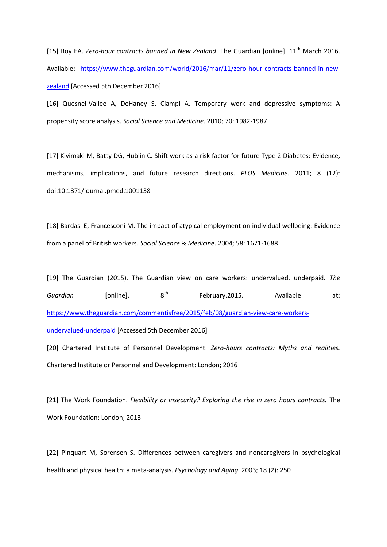[15] Roy EA. *Zero-hour contracts banned in New Zealand*, The Guardian [online]. 11<sup>th</sup> March 2016. Available: [https://www.theguardian.com/world/2016/mar/11/zero-hour-contracts-banned-in-new](https://www.theguardian.com/world/2016/mar/11/zero-hour-contracts-banned-in-new-zealand)[zealand](https://www.theguardian.com/world/2016/mar/11/zero-hour-contracts-banned-in-new-zealand) [Accessed 5th December 2016]

[16] Quesnel-Vallee A, DeHaney S, Ciampi A. Temporary work and depressive symptoms: A propensity score analysis. *Social Science and Medicine*. 2010; 70: 1982-1987

[17] Kivimaki M, Batty DG, Hublin C. Shift work as a risk factor for future Type 2 Diabetes: Evidence, mechanisms, implications, and future research directions. *PLOS Medicine*. 2011; 8 (12): doi:10.1371/journal.pmed.1001138

[18] Bardasi E, Francesconi M. The impact of atypical employment on individual wellbeing: Evidence from a panel of British workers. *Social Science & Medicine*. 2004; 58: 1671-1688

[19] The Guardian (2015), The Guardian view on care workers: undervalued, underpaid. *The Guardian* [online]. 8<sup>th</sup> February.2015. Available at: [https://www.theguardian.com/commentisfree/2015/feb/08/guardian-view-care-workers](https://www.theguardian.com/commentisfree/2015/feb/08/guardian-view-care-workers-undervalued-underpaid)[undervalued-underpaid](https://www.theguardian.com/commentisfree/2015/feb/08/guardian-view-care-workers-undervalued-underpaid) [Accessed 5th December 2016]

[20] Chartered Institute of Personnel Development. *Zero-hours contracts: Myths and realities.* Chartered Institute or Personnel and Development: London; 2016

[21] The Work Foundation. *Flexibility or insecurity? Exploring the rise in zero hours contracts.* The Work Foundation: London; 2013

[22] Pinquart M, Sorensen S. Differences between caregivers and noncaregivers in psychological health and physical health: a meta-analysis. *Psychology and Aging*, 2003; 18 (2): 250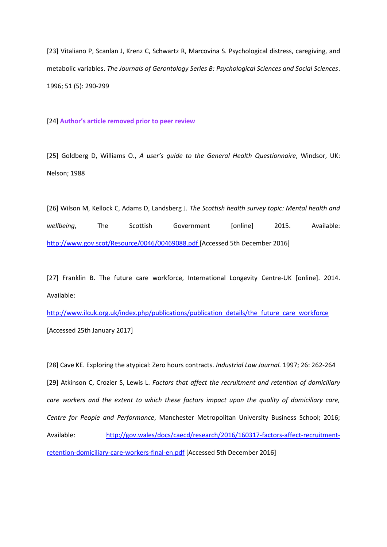[23] Vitaliano P, Scanlan J, Krenz C, Schwartz R, Marcovina S. Psychological distress, caregiving, and metabolic variables. *The Journals of Gerontology Series B: Psychological Sciences and Social Sciences*. 1996; 51 (5): 290-299

[24] **Author's article removed prior to peer review**

[25] Goldberg D, Williams O., *A user's guide to the General Health Questionnaire*, Windsor, UK: Nelson; 1988

[26] Wilson M, Kellock C, Adams D, Landsberg J. *The Scottish health survey topic: Mental health and wellbeing*, The Scottish Government [online] 2015. Available: <http://www.gov.scot/Resource/0046/00469088.pdf> [Accessed 5th December 2016]

[27] Franklin B. The future care workforce, International Longevity Centre-UK [online]. 2014. Available:

[http://www.ilcuk.org.uk/index.php/publications/publication\\_details/the\\_future\\_care\\_workforce](http://www.ilcuk.org.uk/index.php/publications/publication_details/the_future_care_workforce) [Accessed 25th January 2017]

[28] Cave KE. Exploring the atypical: Zero hours contracts. *Industrial Law Journal.* 1997; 26: 262-264 [29] Atkinson C, Crozier S, Lewis L. *Factors that affect the recruitment and retention of domiciliary care workers and the extent to which these factors impact upon the quality of domiciliary care, Centre for People and Performance*, Manchester Metropolitan University Business School; 2016; Available: [http://gov.wales/docs/caecd/research/2016/160317-factors-affect-recruitment](http://gov.wales/docs/caecd/research/2016/160317-factors-affect-recruitment-retention-domiciliary-care-workers-final-en.pdf)[retention-domiciliary-care-workers-final-en.pdf](http://gov.wales/docs/caecd/research/2016/160317-factors-affect-recruitment-retention-domiciliary-care-workers-final-en.pdf) [Accessed 5th December 2016]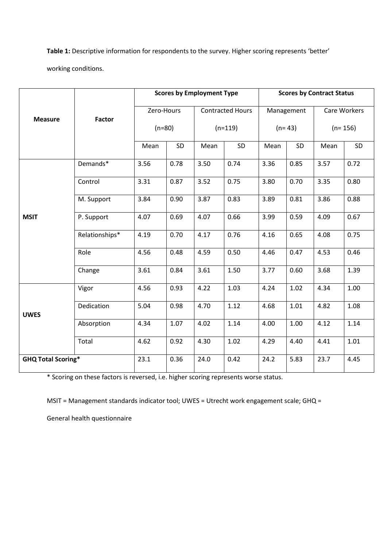**Table 1:** Descriptive information for respondents to the survey. Higher scoring represents 'better'

working conditions.

|                           | <b>Factor</b>  | <b>Scores by Employment Type</b> |      |                         |      | <b>Scores by Contract Status</b> |      |              |      |
|---------------------------|----------------|----------------------------------|------|-------------------------|------|----------------------------------|------|--------------|------|
| <b>Measure</b>            |                | Zero-Hours                       |      | <b>Contracted Hours</b> |      | Management                       |      | Care Workers |      |
|                           |                | $(n=80)$                         |      | $(n=119)$               |      | $(n=43)$                         |      | $(n=156)$    |      |
|                           |                | Mean                             | SD   | Mean                    | SD   | Mean                             | SD   | Mean         | SD   |
| <b>MSIT</b>               | Demands*       | 3.56                             | 0.78 | 3.50                    | 0.74 | 3.36                             | 0.85 | 3.57         | 0.72 |
|                           | Control        | 3.31                             | 0.87 | 3.52                    | 0.75 | 3.80                             | 0.70 | 3.35         | 0.80 |
|                           | M. Support     | 3.84                             | 0.90 | 3.87                    | 0.83 | 3.89                             | 0.81 | 3.86         | 0.88 |
|                           | P. Support     | 4.07                             | 0.69 | 4.07                    | 0.66 | 3.99                             | 0.59 | 4.09         | 0.67 |
|                           | Relationships* | 4.19                             | 0.70 | 4.17                    | 0.76 | 4.16                             | 0.65 | 4.08         | 0.75 |
|                           | Role           | 4.56                             | 0.48 | 4.59                    | 0.50 | 4.46                             | 0.47 | 4.53         | 0.46 |
|                           | Change         | 3.61                             | 0.84 | 3.61                    | 1.50 | 3.77                             | 0.60 | 3.68         | 1.39 |
| <b>UWES</b>               | Vigor          | 4.56                             | 0.93 | 4.22                    | 1.03 | 4.24                             | 1.02 | 4.34         | 1.00 |
|                           | Dedication     | 5.04                             | 0.98 | 4.70                    | 1.12 | 4.68                             | 1.01 | 4.82         | 1.08 |
|                           | Absorption     | 4.34                             | 1.07 | 4.02                    | 1.14 | 4.00                             | 1.00 | 4.12         | 1.14 |
|                           | Total          | 4.62                             | 0.92 | 4.30                    | 1.02 | 4.29                             | 4.40 | 4.41         | 1.01 |
| <b>GHQ Total Scoring*</b> |                | 23.1                             | 0.36 | 24.0                    | 0.42 | 24.2                             | 5.83 | 23.7         | 4.45 |

\* Scoring on these factors is reversed, i.e. higher scoring represents worse status.

MSIT = Management standards indicator tool; UWES = Utrecht work engagement scale; GHQ =

General health questionnaire